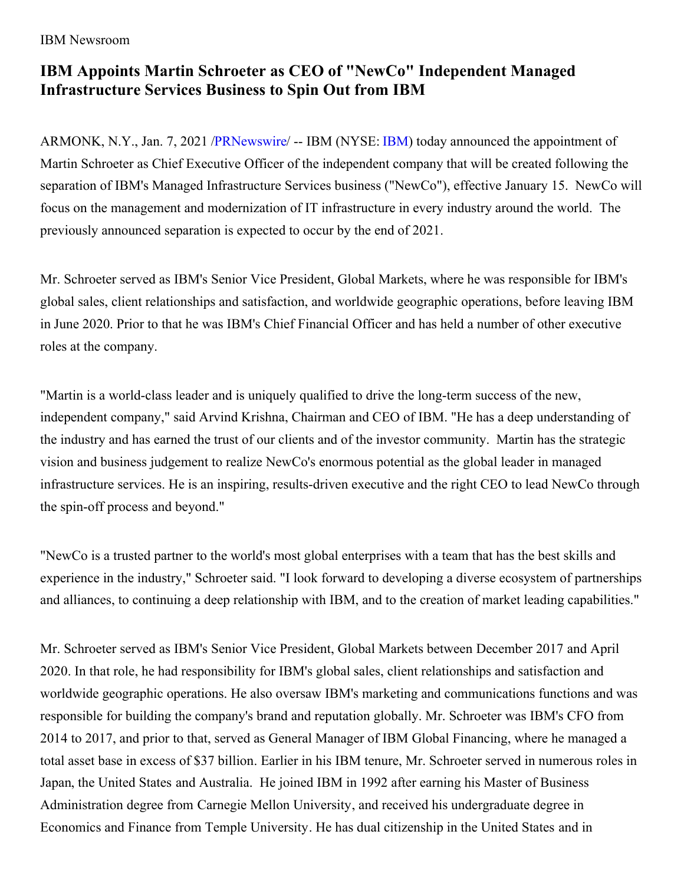IBM Newsroom

## **IBM Appoints Martin Schroeter as CEO of "NewCo" Independent Managed Infrastructure Services Business to Spin Out from IBM**

ARMONK, N.Y., Jan. 7, 2021 [/PRNewswire](http://www.prnewswire.com/)/ -- [IBM](https://c212.net/c/link/?t=0&l=en&o=3028471-1&h=696257113&u=http%3A%2F%2Fwww.ibm.com%2Finvestor&a=IBM) (NYSE: IBM) today announced the appointment of Martin Schroeter as Chief Executive Officer of the independent company that will be created following the separation of IBM's Managed Infrastructure Services business ("NewCo"), effective January 15. NewCo will focus on the management and modernization of IT infrastructure in every industry around the world. The previously announced separation is expected to occur by the end of 2021.

Mr. Schroeter served as IBM's Senior Vice President, Global Markets, where he was responsible for IBM's global sales, client relationships and satisfaction, and worldwide geographic operations, before leaving IBM in June 2020. Prior to that he was IBM's Chief Financial Officer and has held a number of other executive roles at the company.

"Martin is a world-class leader and is uniquely qualified to drive the long-term success of the new, independent company," said Arvind Krishna, Chairman and CEO of IBM. "He has a deep understanding of the industry and has earned the trust of our clients and of the investor community. Martin has the strategic vision and business judgement to realize NewCo's enormous potential as the global leader in managed infrastructure services. He is an inspiring, results-driven executive and the right CEO to lead NewCo through the spin-off process and beyond."

"NewCo is a trusted partner to the world's most global enterprises with a team that has the best skills and experience in the industry," Schroeter said. "I look forward to developing a diverse ecosystem of partnerships and alliances, to continuing a deep relationship with IBM, and to the creation of market leading capabilities."

Mr. Schroeter served as IBM's Senior Vice President, Global Markets between December 2017 and April 2020. In that role, he had responsibility for IBM's global sales, client relationships and satisfaction and worldwide geographic operations. He also oversaw IBM's marketing and communications functions and was responsible for building the company's brand and reputation globally. Mr. Schroeter was IBM's CFO from 2014 to 2017, and prior to that, served as General Manager of IBM Global Financing, where he managed a total asset base in excess of \$37 billion. Earlier in his IBM tenure, Mr. Schroeter served in numerous roles in Japan, the United States and Australia. He joined IBM in 1992 after earning his Master of Business Administration degree from Carnegie Mellon University, and received his undergraduate degree in Economics and Finance from Temple University. He has dual citizenship in the United States and in